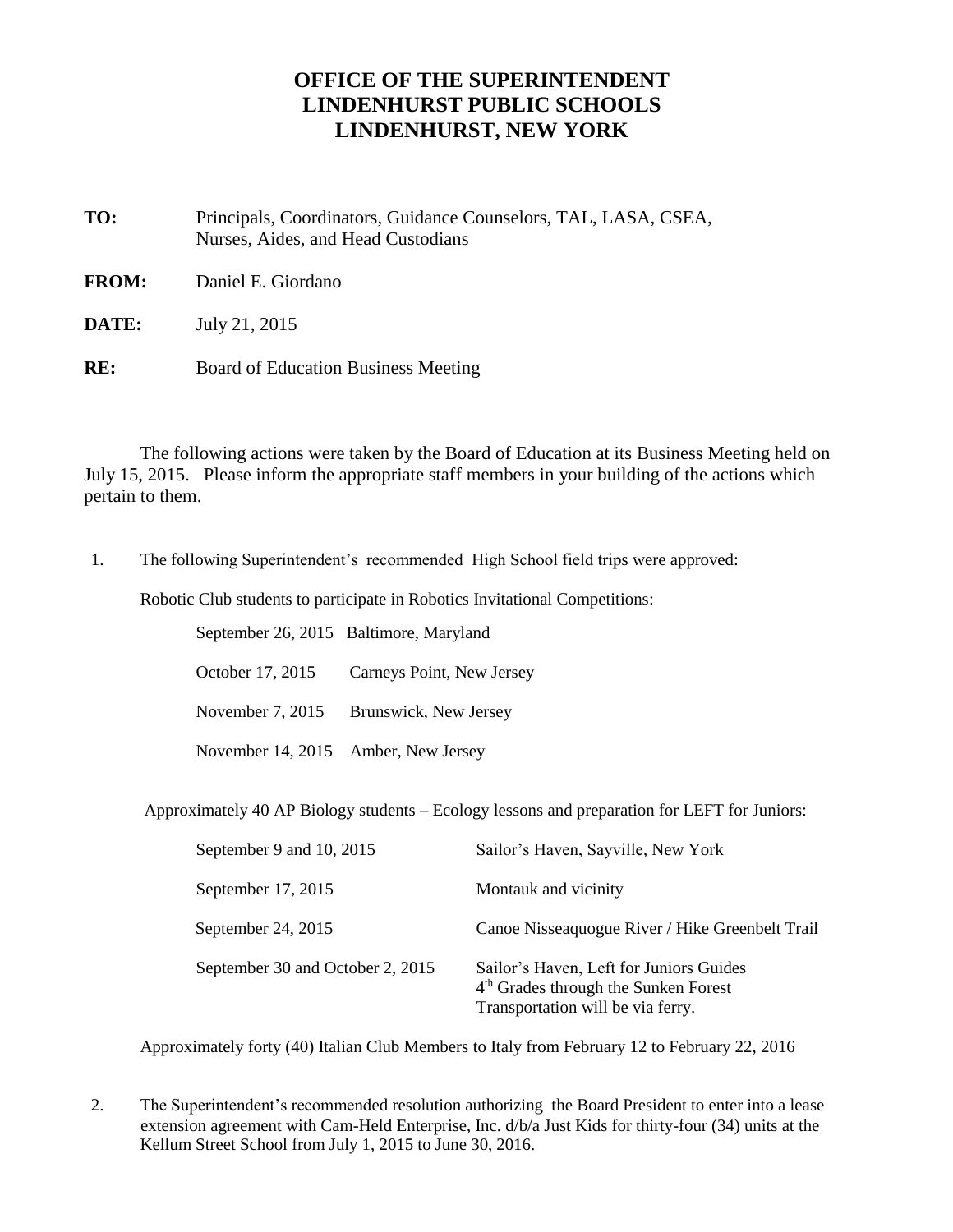## **OFFICE OF THE SUPERINTENDENT LINDENHURST PUBLIC SCHOOLS LINDENHURST, NEW YORK**

- **TO:** Principals, Coordinators, Guidance Counselors, TAL, LASA, CSEA, Nurses, Aides, and Head Custodians
- **FROM:** Daniel E. Giordano
- **DATE:** July 21, 2015
- **RE:** Board of Education Business Meeting

The following actions were taken by the Board of Education at its Business Meeting held on July 15, 2015. Please inform the appropriate staff members in your building of the actions which pertain to them.

1. The following Superintendent's recommended High School field trips were approved:

Robotic Club students to participate in Robotics Invitational Competitions:

 September 26, 2015 Baltimore, Maryland October 17, 2015 Carneys Point, New Jersey November 7, 2015 Brunswick, New Jersey November 14, 2015 Amber, New Jersey

Approximately 40 AP Biology students – Ecology lessons and preparation for LEFT for Juniors:

| September 9 and 10, 2015         | Sailor's Haven, Sayville, New York                                                                                               |
|----------------------------------|----------------------------------------------------------------------------------------------------------------------------------|
| September 17, 2015               | Montauk and vicinity                                                                                                             |
| September 24, 2015               | Canoe Nisseaquogue River / Hike Greenbelt Trail                                                                                  |
| September 30 and October 2, 2015 | Sailor's Haven, Left for Juniors Guides<br>4 <sup>th</sup> Grades through the Sunken Forest<br>Transportation will be via ferry. |

Approximately forty (40) Italian Club Members to Italy from February 12 to February 22, 2016

2. The Superintendent's recommended resolution authorizing the Board President to enter into a lease extension agreement with Cam-Held Enterprise, Inc. d/b/a Just Kids for thirty-four (34) units at the Kellum Street School from July 1, 2015 to June 30, 2016.